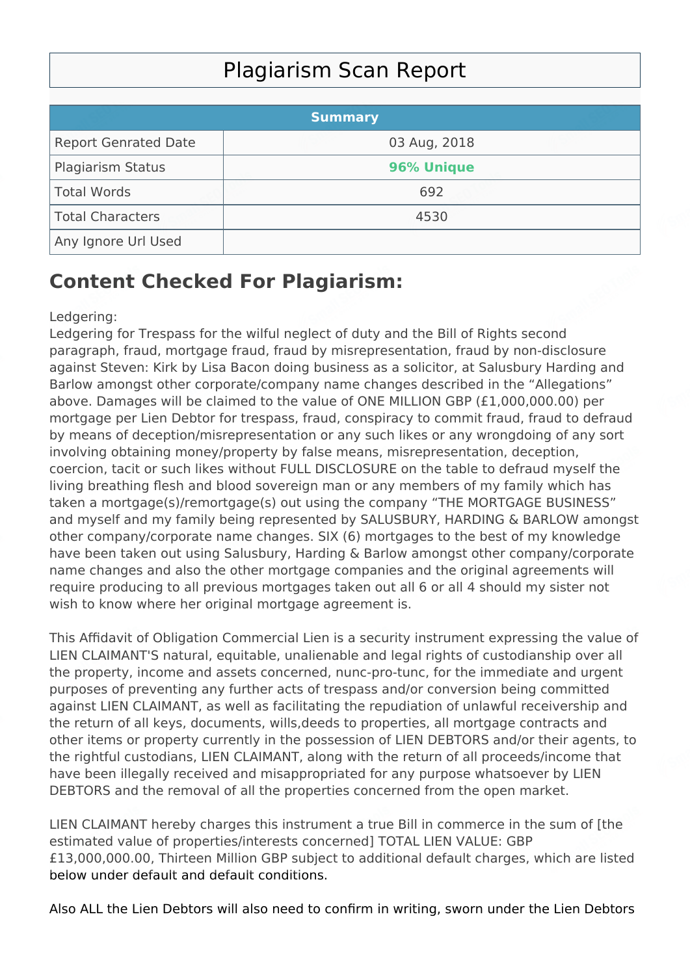## Plagiarism Scan Report

|                             | <b>Summary</b> |  |
|-----------------------------|----------------|--|
| <b>Report Genrated Date</b> | 03 Aug, 2018   |  |
| Plagiarism Status           | 96% Unique     |  |
| Total Words                 | 692            |  |
| Total Characters            | 4530           |  |
| Any Ignore Url Used         |                |  |

## **Content Checked For Plagiarism:**

## Ledgering:

Ledgering for Trespass for the wilful neglect of duty and the Bill of Rights second paragraph, fraud, mortgage fraud, fraud by misrepresentation, fraud by non-disclosure against Steven: Kirk by Lisa Bacon doing business as a solicitor, at Salusbury Harding and Barlow amongst other corporate/company name changes described in the "Allegations" above. Damages will be claimed to the value of ONE MILLION GBP (£1,000,000.00) per mortgage per Lien Debtor for trespass, fraud, conspiracy to commit fraud, fraud to defraud by means of deception/misrepresentation or any such likes or any wrongdoing of any sort involving obtaining money/property by false means, misrepresentation, deception, coercion, tacit or such likes without FULL DISCLOSURE on the table to defraud myself the living breathing flesh and blood sovereign man or any members of my family which has taken a mortgage(s)/remortgage(s) out using the company "THE MORTGAGE BUSINESS" and myself and my family being represented by SALUSBURY, HARDING & BARLOW amongst other company/corporate name changes. SIX (6) mortgages to the best of my knowledge have been taken out using Salusbury, Harding & Barlow amongst other company/corporate name changes and also the other mortgage companies and the original agreements will require producing to all previous mortgages taken out all 6 or all 4 should my sister not wish to know where her original mortgage agreement is.

This Affidavit of Obligation Commercial Lien is a security instrument expressing the value of LIEN CLAIMANT'S natural, equitable, unalienable and legal rights of custodianship over all the property, income and assets concerned, nunc-pro-tunc, for the immediate and urgent purposes of preventing any further acts of trespass and/or conversion being committed against LIEN CLAIMANT, as well as facilitating the repudiation of unlawful receivership and the return of all keys, documents, wills,deeds to properties, all mortgage contracts and other items or property currently in the possession of LIEN DEBTORS and/or their agents, to the rightful custodians, LIEN CLAIMANT, along with the return of all proceeds/income that have been illegally received and misappropriated for any purpose whatsoever by LIEN DEBTORS and the removal of all the properties concerned from the open market.

LIEN CLAIMANT hereby charges this instrument a true Bill in commerce in the sum of [the estimated value of properties/interests concerned] TOTAL LIEN VALUE: GBP £13,000,000.00, Thirteen Million GBP subject to additional default charges, which are listed below under default and default conditions.

Also ALL the Lien Debtors will also need to confirm in writing, sworn under the Lien Debtors